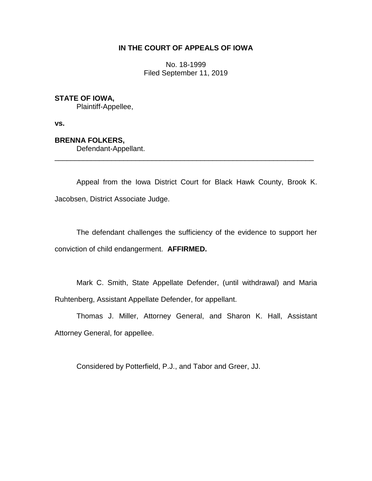# **IN THE COURT OF APPEALS OF IOWA**

No. 18-1999 Filed September 11, 2019

## **STATE OF IOWA,**

Plaintiff-Appellee,

**vs.**

## **BRENNA FOLKERS,**

Defendant-Appellant.

Appeal from the Iowa District Court for Black Hawk County, Brook K. Jacobsen, District Associate Judge.

\_\_\_\_\_\_\_\_\_\_\_\_\_\_\_\_\_\_\_\_\_\_\_\_\_\_\_\_\_\_\_\_\_\_\_\_\_\_\_\_\_\_\_\_\_\_\_\_\_\_\_\_\_\_\_\_\_\_\_\_\_\_\_\_

The defendant challenges the sufficiency of the evidence to support her conviction of child endangerment. **AFFIRMED.**

Mark C. Smith, State Appellate Defender, (until withdrawal) and Maria Ruhtenberg, Assistant Appellate Defender, for appellant.

Thomas J. Miller, Attorney General, and Sharon K. Hall, Assistant Attorney General, for appellee.

Considered by Potterfield, P.J., and Tabor and Greer, JJ.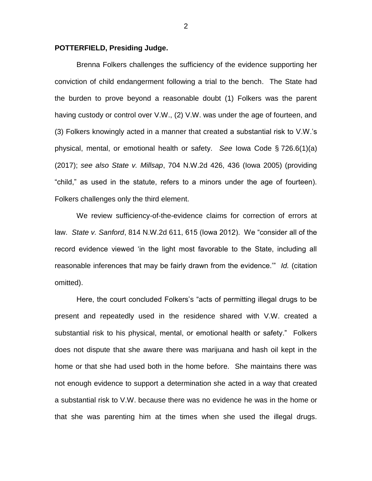#### **POTTERFIELD, Presiding Judge.**

Brenna Folkers challenges the sufficiency of the evidence supporting her conviction of child endangerment following a trial to the bench. The State had the burden to prove beyond a reasonable doubt (1) Folkers was the parent having custody or control over V.W., (2) V.W. was under the age of fourteen, and (3) Folkers knowingly acted in a manner that created a substantial risk to V.W.'s physical, mental, or emotional health or safety. *See* Iowa Code § 726.6(1)(a) (2017); *see also State v. Millsap*, 704 N.W.2d 426, 436 (Iowa 2005) (providing "child," as used in the statute, refers to a minors under the age of fourteen). Folkers challenges only the third element.

We review sufficiency-of-the-evidence claims for correction of errors at law. *State v. Sanford*, 814 N.W.2d 611, 615 (Iowa 2012). We "consider all of the record evidence viewed 'in the light most favorable to the State, including all reasonable inferences that may be fairly drawn from the evidence.'" *Id.* (citation omitted).

Here, the court concluded Folkers's "acts of permitting illegal drugs to be present and repeatedly used in the residence shared with V.W. created a substantial risk to his physical, mental, or emotional health or safety." Folkers does not dispute that she aware there was marijuana and hash oil kept in the home or that she had used both in the home before. She maintains there was not enough evidence to support a determination she acted in a way that created a substantial risk to V.W. because there was no evidence he was in the home or that she was parenting him at the times when she used the illegal drugs.

2